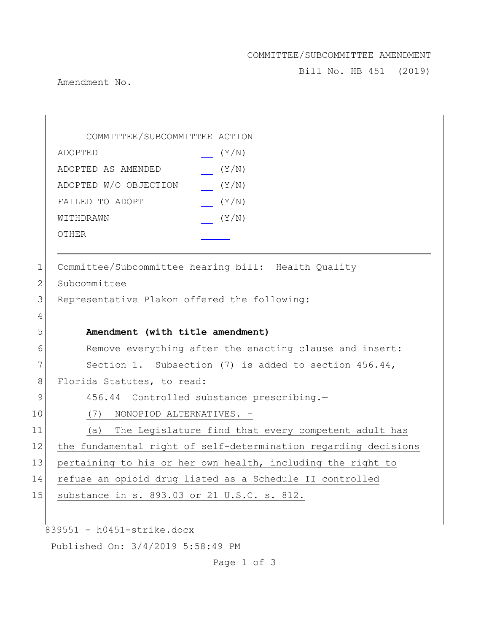## COMMITTEE/SUBCOMMITTEE AMENDMENT

Bill No. HB 451 (2019)

Amendment No.

839551 - h0451-strike.docx Published On: 3/4/2019 5:58:49 PM COMMITTEE/SUBCOMMITTEE ACTION ADOPTED (Y/N) ADOPTED AS AMENDED (Y/N) ADOPTED W/O OBJECTION (Y/N) FAILED TO ADOPT (Y/N) WITHDRAWN  $(Y/N)$ OTHER 1 Committee/Subcommittee hearing bill: Health Quality 2 Subcommittee 3 Representative Plakon offered the following: 4 5 **Amendment (with title amendment)** 6 Remove everything after the enacting clause and insert: 7 Section 1. Subsection (7) is added to section 456.44, 8 Florida Statutes, to read: 9 456.44 Controlled substance prescribing.-10 (7) NONOPIOD ALTERNATIVES. – 11 (a) The Legislature find that every competent adult has 12 the fundamental right of self-determination regarding decisions 13 pertaining to his or her own health, including the right to 14 refuse an opioid drug listed as a Schedule II controlled 15 substance in s. 893.03 or 21 U.S.C. s. 812.

Page 1 of 3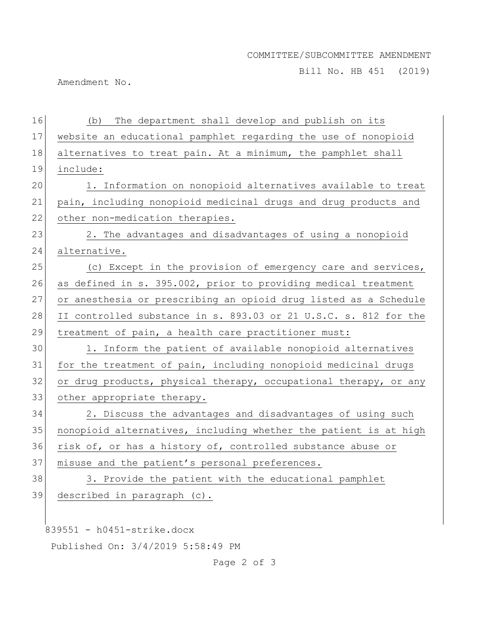## COMMITTEE/SUBCOMMITTEE AMENDMENT

Bill No. HB 451 (2019)

Amendment No.

| 16 | The department shall develop and publish on its<br>(b)           |
|----|------------------------------------------------------------------|
| 17 | website an educational pamphlet regarding the use of nonopioid   |
| 18 | alternatives to treat pain. At a minimum, the pamphlet shall     |
| 19 | include:                                                         |
| 20 | 1. Information on nonopioid alternatives available to treat      |
| 21 | pain, including nonopioid medicinal drugs and drug products and  |
| 22 | other non-medication therapies.                                  |
| 23 | 2. The advantages and disadvantages of using a nonopioid         |
| 24 | alternative.                                                     |
| 25 | (c) Except in the provision of emergency care and services,      |
| 26 | as defined in s. 395.002, prior to providing medical treatment   |
| 27 | or anesthesia or prescribing an opioid drug listed as a Schedule |
| 28 | II controlled substance in s. 893.03 or 21 U.S.C. s. 812 for the |
|    |                                                                  |
| 29 | treatment of pain, a health care practitioner must:              |
| 30 | 1. Inform the patient of available nonopioid alternatives        |
| 31 | for the treatment of pain, including nonopioid medicinal drugs   |
| 32 | or drug products, physical therapy, occupational therapy, or any |
| 33 | other appropriate therapy.                                       |
| 34 | 2. Discuss the advantages and disadvantages of using such        |
| 35 | nonopioid alternatives, including whether the patient is at high |
| 36 | risk of, or has a history of, controlled substance abuse or      |
| 37 | misuse and the patient's personal preferences.                   |
| 38 | 3. Provide the patient with the educational pamphlet             |
| 39 | described in paragraph (c).                                      |
|    |                                                                  |

Published On: 3/4/2019 5:58:49 PM

Page 2 of 3